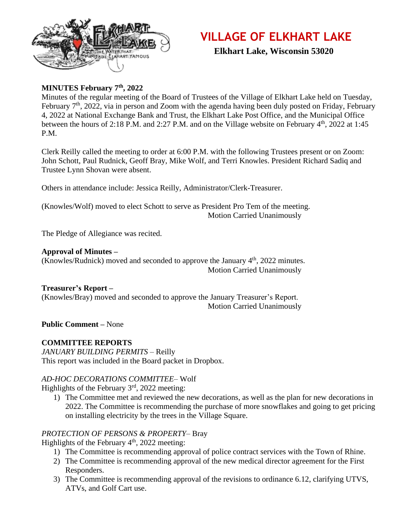

# **VILLAGE OF ELKHART LAKE**

 **Elkhart Lake, Wisconsin 53020**

# **MINUTES February 7th, 2022**

Minutes of the regular meeting of the Board of Trustees of the Village of Elkhart Lake held on Tuesday, February 7<sup>th</sup>, 2022, via in person and Zoom with the agenda having been duly posted on Friday, February 4, 2022 at National Exchange Bank and Trust, the Elkhart Lake Post Office, and the Municipal Office between the hours of 2:18 P.M. and 2:27 P.M. and on the Village website on February  $4<sup>th</sup>$ , 2022 at 1:45 P.M.

Clerk Reilly called the meeting to order at 6:00 P.M. with the following Trustees present or on Zoom: John Schott, Paul Rudnick, Geoff Bray, Mike Wolf, and Terri Knowles. President Richard Sadiq and Trustee Lynn Shovan were absent.

Others in attendance include: Jessica Reilly, Administrator/Clerk-Treasurer.

(Knowles/Wolf) moved to elect Schott to serve as President Pro Tem of the meeting. Motion Carried Unanimously

The Pledge of Allegiance was recited.

#### **Approval of Minutes –**

(Knowles/Rudnick) moved and seconded to approve the January 4th, 2022 minutes. Motion Carried Unanimously

## **Treasurer's Report –**

(Knowles/Bray) moved and seconded to approve the January Treasurer's Report. Motion Carried Unanimously

**Public Comment –** None

## **COMMITTEE REPORTS**

*JANUARY BUILDING PERMITS –* Reilly This report was included in the Board packet in Dropbox.

## *AD-HOC DECORATIONS COMMITTEE–* Wolf

Highlights of the February  $3<sup>rd</sup>$ , 2022 meeting:

1) The Committee met and reviewed the new decorations, as well as the plan for new decorations in 2022. The Committee is recommending the purchase of more snowflakes and going to get pricing on installing electricity by the trees in the Village Square.

## *PROTECTION OF PERSONS & PROPERTY–* Bray

Highlights of the February  $4<sup>th</sup>$ , 2022 meeting:

- 1) The Committee is recommending approval of police contract services with the Town of Rhine.
- 2) The Committee is recommending approval of the new medical director agreement for the First Responders.
- 3) The Committee is recommending approval of the revisions to ordinance 6.12, clarifying UTVS, ATVs, and Golf Cart use.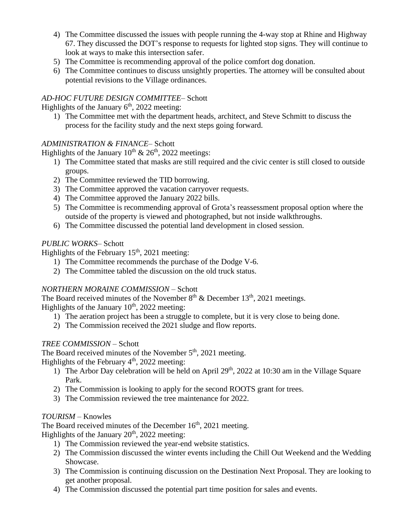- 4) The Committee discussed the issues with people running the 4-way stop at Rhine and Highway 67. They discussed the DOT's response to requests for lighted stop signs. They will continue to look at ways to make this intersection safer.
- 5) The Committee is recommending approval of the police comfort dog donation.
- 6) The Committee continues to discuss unsightly properties. The attorney will be consulted about potential revisions to the Village ordinances.

# *AD-HOC FUTURE DESIGN COMMITTEE–* Schott

Highlights of the January  $6<sup>th</sup>$ , 2022 meeting:

1) The Committee met with the department heads, architect, and Steve Schmitt to discuss the process for the facility study and the next steps going forward.

# *ADMINISTRATION & FINANCE–* Schott

Highlights of the January  $10^{th}$  &  $26^{th}$ , 2022 meetings:

- 1) The Committee stated that masks are still required and the civic center is still closed to outside groups.
- 2) The Committee reviewed the TID borrowing.
- 3) The Committee approved the vacation carryover requests.
- 4) The Committee approved the January 2022 bills.
- 5) The Committee is recommending approval of Grota's reassessment proposal option where the outside of the property is viewed and photographed, but not inside walkthroughs.
- 6) The Committee discussed the potential land development in closed session.

# *PUBLIC WORKS–* Schott

Highlights of the February  $15<sup>th</sup>$ , 2021 meeting:

- 1) The Committee recommends the purchase of the Dodge V-6.
- 2) The Committee tabled the discussion on the old truck status.

# *NORTHERN MORAINE COMMISSION –* Schott

The Board received minutes of the November  $8<sup>th</sup>$  & December 13<sup>th</sup>, 2021 meetings. Highlights of the January  $10<sup>th</sup>$ , 2022 meeting:

- 1) The aeration project has been a struggle to complete, but it is very close to being done.
- 2) The Commission received the 2021 sludge and flow reports.

# *TREE COMMISSION –* Schott

The Board received minutes of the November  $5<sup>th</sup>$ , 2021 meeting.

Highlights of the February  $4<sup>th</sup>$ , 2022 meeting:

- 1) The Arbor Day celebration will be held on April  $29<sup>th</sup>$ , 2022 at 10:30 am in the Village Square Park.
- 2) The Commission is looking to apply for the second ROOTS grant for trees.
- 3) The Commission reviewed the tree maintenance for 2022.

# *TOURISM –* Knowles

The Board received minutes of the December  $16<sup>th</sup>$ , 2021 meeting.

Highlights of the January  $20<sup>th</sup>$ , 2022 meeting:

- 1) The Commission reviewed the year-end website statistics.
- 2) The Commission discussed the winter events including the Chill Out Weekend and the Wedding Showcase.
- 3) The Commission is continuing discussion on the Destination Next Proposal. They are looking to get another proposal.
- 4) The Commission discussed the potential part time position for sales and events.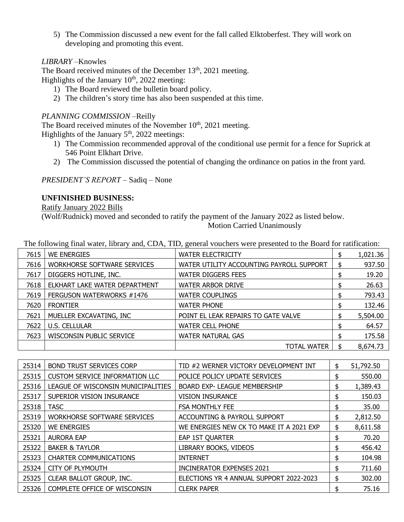5) The Commission discussed a new event for the fall called Elktoberfest. They will work on developing and promoting this event.

## *LIBRARY –*Knowles

The Board received minutes of the December 13<sup>th</sup>, 2021 meeting. Highlights of the January  $10<sup>th</sup>$ , 2022 meeting:

- 1) The Board reviewed the bulletin board policy.
- 2) The children's story time has also been suspended at this time.

## *PLANNING COMMISSION –*Reilly

The Board received minutes of the November  $10<sup>th</sup>$ , 2021 meeting. Highlights of the January  $5<sup>th</sup>$ , 2022 meetings:

- 1) The Commission recommended approval of the conditional use permit for a fence for Suprick at 546 Point Elkhart Drive.
- 2) The Commission discussed the potential of changing the ordinance on patios in the front yard.

*PRESIDENT'S REPORT –* Sadiq – None

#### **UNFINISHED BUSINESS:**

Ratify January 2022 Bills

(Wolf/Rudnick) moved and seconded to ratify the payment of the January 2022 as listed below. Motion Carried Unanimously

| 7615 | WE ENERGIES                        | <b>WATER ELECTRICITY</b>                 | \$<br>1,021.36 |
|------|------------------------------------|------------------------------------------|----------------|
| 7616 | <b>WORKHORSE SOFTWARE SERVICES</b> | WATER UTILITY ACCOUNTING PAYROLL SUPPORT | \$<br>937.50   |
| 7617 | DIGGERS HOTLINE, INC.              | <b>WATER DIGGERS FEES</b>                | 19.20          |
| 7618 | ELKHART LAKE WATER DEPARTMENT      | <b>WATER ARBOR DRIVE</b>                 | 26.63          |
| 7619 | FERGUSON WATERWORKS #1476          | <b>WATER COUPLINGS</b>                   | 793.43         |
| 7620 | <b>FRONTIER</b>                    | <b>WATER PHONE</b>                       | 132.46         |
| 7621 | MUELLER EXCAVATING, INC            | POINT EL LEAK REPAIRS TO GATE VALVE      | 5,504.00       |
| 7622 | <b>U.S. CELLULAR</b>               | <b>WATER CELL PHONE</b>                  | 64.57          |
| 7623 | WISCONSIN PUBLIC SERVICE           | <b>WATER NATURAL GAS</b>                 | 175.58         |
|      |                                    | TOTAL WATER                              | 8,674.73       |

The following final water, library and, CDA, TID, general vouchers were presented to the Board for ratification:

| 25314 | <b>BOND TRUST SERVICES CORP</b>       | TID #2 WERNER VICTORY DEVELOPMENT INT    | \$ | 51,792.50 |
|-------|---------------------------------------|------------------------------------------|----|-----------|
| 25315 | <b>CUSTOM SERVICE INFORMATION LLC</b> | POLICE POLICY UPDATE SERVICES            | S  | 550.00    |
| 25316 | LEAGUE OF WISCONSIN MUNICIPALITIES    | <b>BOARD EXP- LEAGUE MEMBERSHIP</b>      | \$ | 1,389.43  |
| 25317 | SUPERIOR VISION INSURANCE             | <b>VISION INSURANCE</b>                  | S  | 150.03    |
| 25318 | <b>TASC</b>                           | <b>FSA MONTHLY FEE</b>                   | \$ | 35.00     |
| 25319 | <b>WORKHORSE SOFTWARE SERVICES</b>    | ACCOUNTING & PAYROLL SUPPORT             | \$ | 2,812.50  |
| 25320 | <b>WE ENERGIES</b>                    | WE ENERGIES NEW CK TO MAKE IT A 2021 EXP | \$ | 8,611.58  |
| 25321 | <b>AURORA EAP</b>                     | EAP 1ST QUARTER                          | \$ | 70.20     |
| 25322 | <b>BAKER &amp; TAYLOR</b>             | LIBRARY BOOKS, VIDEOS                    | \$ | 456.42    |
| 25323 | <b>CHARTER COMMUNICATIONS</b>         | <b>INTERNET</b>                          | \$ | 104.98    |
| 25324 | <b>CITY OF PLYMOUTH</b>               | <b>INCINERATOR EXPENSES 2021</b>         | \$ | 711.60    |
| 25325 | CLEAR BALLOT GROUP, INC.              | ELECTIONS YR 4 ANNUAL SUPPORT 2022-2023  | \$ | 302.00    |
| 25326 | COMPLETE OFFICE OF WISCONSIN          | <b>CLERK PAPER</b>                       |    | 75.16     |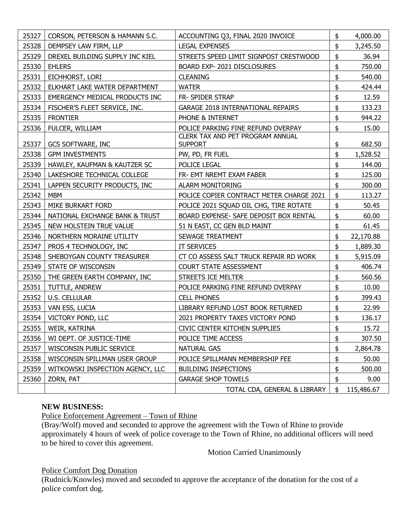| 25327 | CORSON, PETERSON & HAMANN S.C.   | ACCOUNTING Q3, FINAL 2020 INVOICE                  | \$<br>4,000.00   |
|-------|----------------------------------|----------------------------------------------------|------------------|
| 25328 | DEMPSEY LAW FIRM, LLP            | <b>LEGAL EXPENSES</b>                              | \$<br>3,245.50   |
| 25329 | DREXEL BUILDING SUPPLY INC KIEL  | STREETS SPEED LIMIT SIGNPOST CRESTWOOD             | \$<br>36.94      |
| 25330 | <b>EHLERS</b>                    | BOARD EXP- 2021 DISCLOSURES                        | \$<br>750.00     |
| 25331 | EICHHORST, LORI                  | <b>CLEANING</b>                                    | \$<br>540.00     |
| 25332 | ELKHART LAKE WATER DEPARTMENT    | <b>WATER</b>                                       | \$<br>424.44     |
| 25333 | EMERGENCY MEDICAL PRODUCTS INC   | FR- SPIDER STRAP                                   | \$<br>12.59      |
| 25334 | FISCHER'S FLEET SERVICE, INC.    | <b>GARAGE 2018 INTERNATIONAL REPAIRS</b>           | \$<br>133.23     |
| 25335 | <b>FRONTIER</b>                  | PHONE & INTERNET                                   | \$<br>944.22     |
| 25336 | FULCER, WILLIAM                  | POLICE PARKING FINE REFUND OVERPAY                 | \$<br>15.00      |
| 25337 | <b>GCS SOFTWARE, INC</b>         | CLERK TAX AND PET PROGRAM ANNUAL<br><b>SUPPORT</b> | \$<br>682.50     |
| 25338 | <b>GPM INVESTMENTS</b>           | PW, PD, FR FUEL                                    | \$<br>1,528.52   |
| 25339 | HAWLEY, KAUFMAN & KAUTZER SC     | POLICE LEGAL                                       | \$<br>144.00     |
| 25340 | LAKESHORE TECHNICAL COLLEGE      | FR- EMT NREMT EXAM FABER                           | \$<br>125.00     |
| 25341 | LAPPEN SECURITY PRODUCTS, INC    | <b>ALARM MONITORING</b>                            | \$<br>300.00     |
| 25342 | <b>MBM</b>                       | POLICE COPIER CONTRACT METER CHARGE 2021           | \$<br>113.27     |
| 25343 | MIKE BURKART FORD                | POLICE 2021 SQUAD OIL CHG, TIRE ROTATE             | \$<br>50.45      |
| 25344 | NATIONAL EXCHANGE BANK & TRUST   | BOARD EXPENSE- SAFE DEPOSIT BOX RENTAL             | \$<br>60.00      |
| 25345 | NEW HOLSTEIN TRUE VALUE          | 51 N EAST, CC GEN BLD MAINT                        | \$<br>61.45      |
| 25346 | NORTHERN MORAINE UTILITY         | SEWAGE TREATMENT                                   | \$<br>22,170.88  |
| 25347 | PROS 4 TECHNOLOGY, INC           | IT SERVICES                                        | \$<br>1,889.30   |
| 25348 | SHEBOYGAN COUNTY TREASURER       | CT CO ASSESS SALT TRUCK REPAIR RD WORK             | \$<br>5,915.09   |
| 25349 | STATE OF WISCONSIN               | <b>COURT STATE ASSESSMENT</b>                      | \$<br>406.74     |
| 25350 | THE GREEN EARTH COMPANY, INC     | STREETS ICE MELTER                                 | \$<br>560.56     |
| 25351 | TUTTLE, ANDREW                   | POLICE PARKING FINE REFUND OVERPAY                 | \$<br>10.00      |
| 25352 | <b>U.S. CELLULAR</b>             | <b>CELL PHONES</b>                                 | \$<br>399.43     |
| 25353 | VAN ESS, LUCIA                   | LIBRARY REFUND LOST BOOK RETURNED                  | \$<br>22.99      |
| 25354 | VICTORY POND, LLC                | 2021 PROPERTY TAXES VICTORY POND                   | \$<br>136.17     |
| 25355 | WEIR, KATRINA                    | <b>CIVIC CENTER KITCHEN SUPPLIES</b>               | \$<br>15.72      |
| 25356 | WI DEPT. OF JUSTICE-TIME         | POLICE TIME ACCESS                                 | \$<br>307.50     |
| 25357 | WISCONSIN PUBLIC SERVICE         | <b>NATURAL GAS</b>                                 | \$<br>2,864.78   |
| 25358 | WISCONSIN SPILLMAN USER GROUP    | POLICE SPILLMANN MEMBERSHIP FEE                    | \$<br>50.00      |
| 25359 | WITKOWSKI INSPECTION AGENCY, LLC | <b>BUILDING INSPECTIONS</b>                        | \$<br>500.00     |
| 25360 | ZORN, PAT                        | <b>GARAGE SHOP TOWELS</b>                          | \$<br>9.00       |
|       |                                  | TOTAL CDA, GENERAL & LIBRARY                       | \$<br>115,486.67 |

### **NEW BUSINESS:**

Police Enforcement Agreement – Town of Rhine

(Bray/Wolf) moved and seconded to approve the agreement with the Town of Rhine to provide approximately 4 hours of week of police coverage to the Town of Rhine, no additional officers will need to be hired to cover this agreement.

Motion Carried Unanimously

Police Comfort Dog Donation

(Rudnick/Knowles) moved and seconded to approve the acceptance of the donation for the cost of a police comfort dog.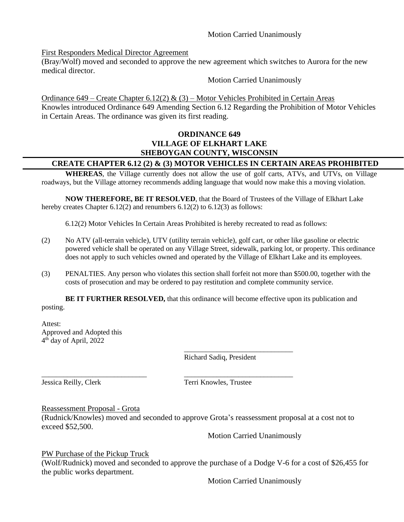#### Motion Carried Unanimously

First Responders Medical Director Agreement

(Bray/Wolf) moved and seconded to approve the new agreement which switches to Aurora for the new medical director.

Motion Carried Unanimously

Ordinance 649 – Create Chapter 6.12(2) & (3) – Motor Vehicles Prohibited in Certain Areas Knowles introduced Ordinance 649 Amending Section 6.12 Regarding the Prohibition of Motor Vehicles in Certain Areas. The ordinance was given its first reading.

## **ORDINANCE 649 VILLAGE OF ELKHART LAKE SHEBOYGAN COUNTY, WISCONSIN**

## **CREATE CHAPTER 6.12 (2) & (3) MOTOR VEHICLES IN CERTAIN AREAS PROHIBITED**

**WHEREAS**, the Village currently does not allow the use of golf carts, ATVs, and UTVs, on Village roadways, but the Village attorney recommends adding language that would now make this a moving violation.

**NOW THEREFORE, BE IT RESOLVED**, that the Board of Trustees of the Village of Elkhart Lake hereby creates Chapter 6.12(2) and renumbers 6.12(2) to 6.12(3) as follows:

6.12(2) Motor Vehicles In Certain Areas Prohibited is hereby recreated to read as follows:

- (2) No ATV (all-terrain vehicle), UTV (utility terrain vehicle), golf cart, or other like gasoline or electric powered vehicle shall be operated on any Village Street, sidewalk, parking lot, or property. This ordinance does not apply to such vehicles owned and operated by the Village of Elkhart Lake and its employees.
- (3) PENALTIES. Any person who violates this section shall forfeit not more than \$500.00, together with the costs of prosecution and may be ordered to pay restitution and complete community service.

**BE IT FURTHER RESOLVED,** that this ordinance will become effective upon its publication and posting.

Attest: Approved and Adopted this 4 th day of April, 2022

Richard Sadiq, President

\_\_\_\_\_\_\_\_\_\_\_\_\_\_\_\_\_\_\_\_\_\_\_\_\_\_\_\_\_\_

Jessica Reilly, Clerk Terri Knowles, Trustee

#### Reassessment Proposal - Grota

(Rudnick/Knowles) moved and seconded to approve Grota's reassessment proposal at a cost not to exceed \$52,500.

\_\_\_\_\_\_\_\_\_\_\_\_\_\_\_\_\_\_\_\_\_\_\_\_\_\_\_\_\_ \_\_\_\_\_\_\_\_\_\_\_\_\_\_\_\_\_\_\_\_\_\_\_\_\_\_\_\_\_\_

Motion Carried Unanimously

PW Purchase of the Pickup Truck

(Wolf/Rudnick) moved and seconded to approve the purchase of a Dodge V-6 for a cost of \$26,455 for the public works department.

Motion Carried Unanimously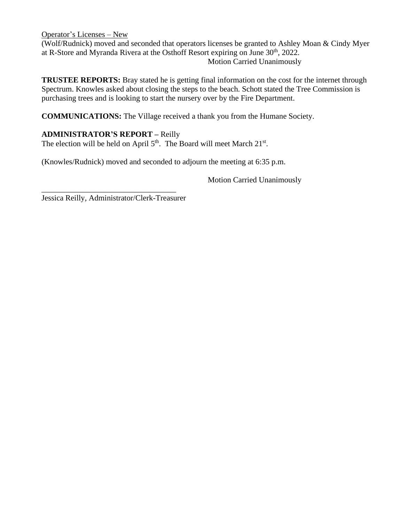Operator's Licenses – New (Wolf/Rudnick) moved and seconded that operators licenses be granted to Ashley Moan & Cindy Myer at R-Store and Myranda Rivera at the Osthoff Resort expiring on June 30<sup>th</sup>, 2022. Motion Carried Unanimously

**TRUSTEE REPORTS:** Bray stated he is getting final information on the cost for the internet through Spectrum. Knowles asked about closing the steps to the beach. Schott stated the Tree Commission is purchasing trees and is looking to start the nursery over by the Fire Department.

**COMMUNICATIONS:** The Village received a thank you from the Humane Society.

# **ADMINISTRATOR'S REPORT –** Reilly

The election will be held on April  $5<sup>th</sup>$ . The Board will meet March  $21<sup>st</sup>$ .

(Knowles/Rudnick) moved and seconded to adjourn the meeting at 6:35 p.m.

Motion Carried Unanimously

\_\_\_\_\_\_\_\_\_\_\_\_\_\_\_\_\_\_\_\_\_\_\_\_\_\_\_\_\_\_\_\_\_\_ Jessica Reilly, Administrator/Clerk-Treasurer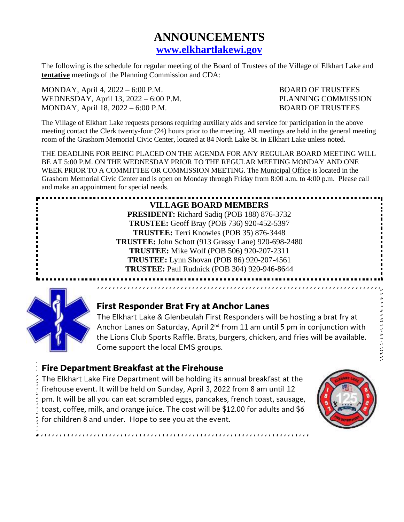# **ANNOUNCEMENTS [www.elkhartlakewi.gov](http://www.elkhartlakewi.gov/)**

The following is the schedule for regular meeting of the Board of Trustees of the Village of Elkhart Lake and **tentative** meetings of the Planning Commission and CDA:

MONDAY, April 4, 2022 – 6:00 P.M. BOARD OF TRUSTEES WEDNESDAY, April 13, 2022 – 6:00 P.M. PLANNING COMMISSION MONDAY, April 18, 2022 – 6:00 P.M. BOARD OF TRUSTEES

The Village of Elkhart Lake requests persons requiring auxiliary aids and service for participation in the above meeting contact the Clerk twenty-four (24) hours prior to the meeting. All meetings are held in the general meeting room of the Grashorn Memorial Civic Center, located at 84 North Lake St. in Elkhart Lake unless noted.

THE DEADLINE FOR BEING PLACED ON THE AGENDA FOR ANY REGULAR BOARD MEETING WILL BE AT 5:00 P.M. ON THE WEDNESDAY PRIOR TO THE REGULAR MEETING MONDAY AND ONE WEEK PRIOR TO A COMMITTEE OR COMMISSION MEETING. The Municipal Office is located in the Grashorn Memorial Civic Center and is open on Monday through Friday from 8:00 a.m. to 4:00 p.m. Please call and make an appointment for special needs.

# **VILLAGE BOARD MEMBERS**

**PRESIDENT:** Richard Sadiq (POB 188) 876-3732 **TRUSTEE:** Geoff Bray (POB 736) 920-452-5397 **TRUSTEE:** Terri Knowles (POB 35) 876-3448 **TRUSTEE:** John Schott (913 Grassy Lane) 920-698-2480 **TRUSTEE:** Mike Wolf (POB 506) 920-207-2311 **TRUSTEE:** Lynn Shovan (POB 86) 920-207-4561 **TRUSTEE:** Paul Rudnick (POB 304) 920-946-8644



# **First Responder Brat Fry at Anchor Lanes**

The Elkhart Lake & Glenbeulah First Responders will be hosting a brat fry at Anchor Lanes on Saturday, April  $2^{nd}$  from 11 am until 5 pm in conjunction with the Lions Club Sports Raffle. Brats, burgers, chicken, and fries will be available. Come support the local EMS groups.

# **Fire Department Breakfast at the Firehouse**

The Elkhart Lake Fire Department will be holding its annual breakfast at the firehouse event. It will be held on Sunday, April 3, 2022 from 8 am until 12 pm. It will be all you can eat scrambled eggs, pancakes, french toast, sausage, toast, coffee, milk, and orange juice. The cost will be \$12.00 for adults and \$6 for children 8 and under. Hope to see you at the event.



そうちゅう アイバングアイ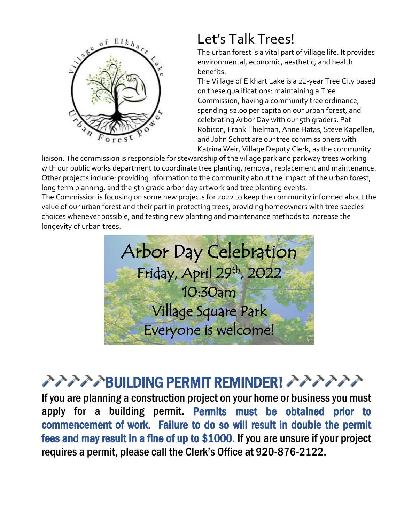

# Let's Talk Trees!

The urban forest is a vital part of village life. It provides environmental, economic, aesthetic, and health benefits.

The Village of Elkhart Lake is a 22-year Tree City based on these qualifications: maintaining a Tree Commission, having a community tree ordinance, spending \$2.00 per capita on our urban forest, and celebrating Arbor Day with our 5th graders. Pat Robison, Frank Thielman, Anne Hatas, Steve Kapellen, and John Schott are our tree commissioners with Katrina Weir, Village Deputy Clerk, as the community

liaison. The commission is responsible for stewardship of the village park and parkway trees working with our public works department to coordinate tree planting, removal, replacement and maintenance. Other projects include: providing information to the community about the impact of the urban forest, long term planning, and the 5th grade arbor day artwork and tree planting events. The Commission is focusing on some new projects for 2022 to keep the community informed about the value of our urban forest and their part in protecting trees, providing homeowners with tree species choices whenever possible, and testing new planting and maintenance methods to increase the

longevity of urban trees.



# アアアプBUILDING PERMIT REMINDER! アアアアアプ

If you are planning a construction project on your home or business you must apply for a building permit. Permits must be obtained prior to commencement of work. Failure to do so will result in double the permit fees and may result in a fine of up to \$1000. If you are unsure if your project requires a permit, please call the Clerk's Office at 920-876-2122.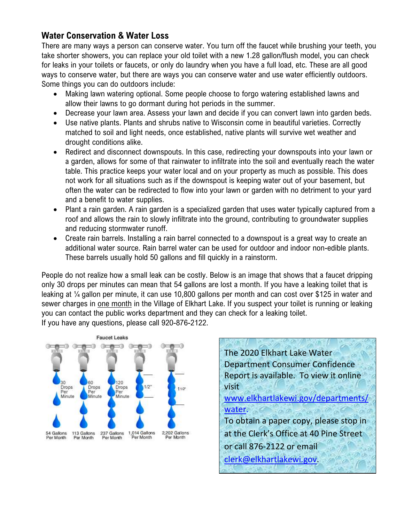# **Water Conservation & Water Loss**

There are many ways a person can conserve water. You turn off the faucet while brushing your teeth, you take shorter showers, you can replace your old toilet with a new 1.28 gallon/flush model, you can check for leaks in your toilets or faucets, or only do laundry when you have a full load, etc. These are all good ways to conserve water, but there are ways you can conserve water and use water efficiently outdoors. Some things you can do outdoors include:

- Making lawn watering optional. Some people choose to forgo watering established lawns and allow their lawns to go dormant during hot periods in the summer.
- Decrease your lawn area. Assess your lawn and decide if you can convert lawn into garden beds.
- Use native plants. Plants and shrubs native to Wisconsin come in beautiful varieties. Correctly matched to soil and light needs, once established, native plants will survive wet weather and drought conditions alike.
- Redirect and disconnect downspouts. In this case, redirecting your downspouts into your lawn or a garden, allows for some of that rainwater to infiltrate into the soil and eventually reach the water table. This practice keeps your water local and on your property as much as possible. This does not work for all situations such as if the downspout is keeping water out of your basement, but often the water can be redirected to flow into your lawn or garden with no detriment to your yard and a benefit to water supplies.
- Plant a rain garden. A rain garden is a specialized garden that uses water typically captured from a roof and allows the rain to slowly infiltrate into the ground, contributing to groundwater supplies and reducing stormwater runoff.
- Create rain barrels. Installing a rain barrel connected to a downspout is a great way to create an additional water source. Rain barrel water can be used for outdoor and indoor non-edible plants. These barrels usually hold 50 gallons and fill quickly in a rainstorm.

People do not realize how a small leak can be costly. Below is an image that shows that a faucet dripping only 30 drops per minutes can mean that 54 gallons are lost a month. If you have a leaking toilet that is leaking at ¼ gallon per minute, it can use 10,800 gallons per month and can cost over \$125 in water and sewer charges in one month in the Village of Elkhart Lake. If you suspect your toilet is running or leaking you can contact the public works department and they can check for a leaking toilet. If you have any questions, please call 920-876-2122.



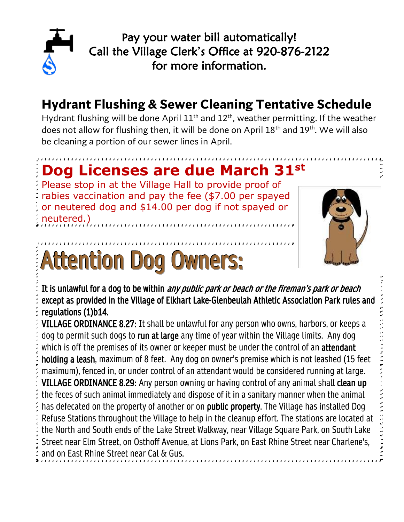

Pay your water bill automatically! Call the Village Clerk's Office at 920-876-2122 for more information.

# **Hydrant Flushing & Sewer Cleaning Tentative Schedule**

Hydrant flushing will be done April  $11<sup>th</sup>$  and  $12<sup>th</sup>$ , weather permitting. If the weather does not allow for flushing then, it will be done on April 18<sup>th</sup> and 19<sup>th</sup>. We will also be cleaning a portion of our sewer lines in April.

# **Dog Licenses are due March 31st**

Please stop in at the Village Hall to provide proof of rabies vaccination and pay the fee (\$7.00 per spayed or neutered dog and \$14.00 per dog if not spayed or neutered.)

# Attention Dog Owners:



It is unlawful for a dog to be within *any public park or beach or the fireman's park or beach* except as provided in the Village of Elkhart Lake-Glenbeulah Athletic Association Park rules and regulations (1)b14.

VILLAGE ORDINANCE 8.27: It shall be unlawful for any person who owns, harbors, or keeps a dog to permit such dogs to run at large any time of year within the Village limits. Any dog which is off the premises of its owner or keeper must be under the control of an **attendant** holding a leash, maximum of 8 feet. Any dog on owner's premise which is not leashed (15 feet maximum), fenced in, or under control of an attendant would be considered running at large. VILLAGE ORDINANCE 8.29: Any person owning or having control of any animal shall clean up the feces of such animal immediately and dispose of it in a sanitary manner when the animal has defecated on the property of another or on public property. The Village has installed Dog Refuse Stations throughout the Village to help in the cleanup effort. The stations are located at the North and South ends of the Lake Street Walkway, near Village Square Park, on South Lake Street near Elm Street, on Osthoff Avenue, at Lions Park, on East Rhine Street near Charlene's, and on East Rhine Street near Cal & Gus.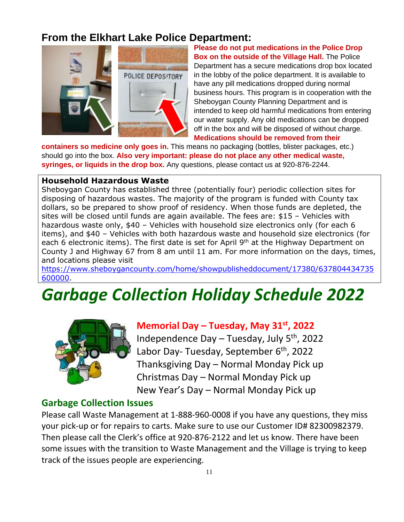# **From the Elkhart Lake Police Department:**



**Please do not put medications in the Police Drop Box on the outside of the Village Hall.** The Police Department has a secure medications drop box located in the lobby of the police department. It is available to have any pill medications dropped during normal business hours. This program is in cooperation with the Sheboygan County Planning Department and is intended to keep old harmful medications from entering our water supply. Any old medications can be dropped off in the box and will be disposed of without charge. **Medications should be removed from their** 

**containers so medicine only goes in.** This means no packaging (bottles, blister packages, etc.) should go into the box. **Also very important: please do not place any other medical waste, syringes, or liquids in the drop box.** Any questions, please contact us at 920-876-2244.

#### **Household Hazardous Waste**

Sheboygan County has established three (potentially four) periodic collection sites for disposing of hazardous wastes. The majority of the program is funded with County tax dollars, so be prepared to show proof of residency. When those funds are depleted, the sites will be closed until funds are again available. The fees are: \$15 – Vehicles with hazardous waste only, \$40 – Vehicles with household size electronics only (for each 6 items), and \$40 – Vehicles with both hazardous waste and household size electronics (for each 6 electronic items). The first date is set for April 9<sup>th</sup> at the Highway Department on County J and Highway 67 from 8 am until 11 am. For more information on the days, times, and locations please visit

[https://www.sheboygancounty.com/home/showpublisheddocument/17380/637804434735](https://www.sheboygancounty.com/home/showpublisheddocument/17380/637804434735600000) [600000.](https://www.sheboygancounty.com/home/showpublisheddocument/17380/637804434735600000)

# *Garbage Collection Holiday Schedule 2022*



# **Memorial Day – Tuesday, May 31st, 2022**

Independence Day – Tuesday, July 5th, 2022 Labor Day- Tuesday, September 6<sup>th</sup>, 2022 Thanksgiving Day – Normal Monday Pick up Christmas Day – Normal Monday Pick up New Year's Day – Normal Monday Pick up

# **Garbage Collection Issues**

Please call Waste Management at 1-888-960-0008 if you have any questions, they miss your pick-up or for repairs to carts. Make sure to use our Customer ID# 82300982379. Then please call the Clerk's office at 920-876-2122 and let us know. There have been some issues with the transition to Waste Management and the Village is trying to keep track of the issues people are experiencing.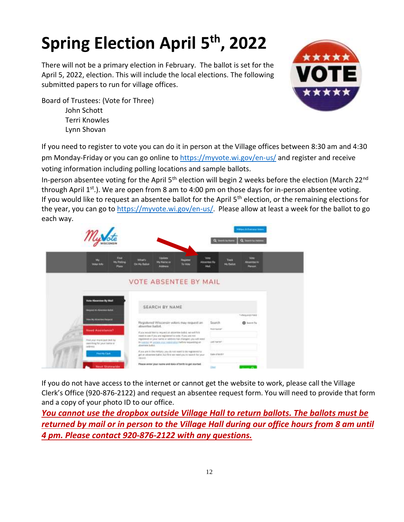# **Spring Election April 5 th, 2022**

There will not be a primary election in February. The ballot is set for the April 5, 2022, election. This will include the local elections. The following submitted papers to run for village offices.



Board of Trustees: (Vote for Three) John Schott Terri Knowles Lynn Shovan

If you need to register to vote you can do it in person at the Village offices between 8:30 am and 4:30 pm Monday-Friday or you can go online to<https://myvote.wi.gov/en-us/> and register and receive voting information including polling locations and sample ballots.

In-person absentee voting for the April 5<sup>th</sup> election will begin 2 weeks before the election (March 22<sup>nd</sup> through April  $1^{st}$ .). We are open from 8 am to 4:00 pm on those days for in-person absentee voting. If you would like to request an absentee ballot for the April  $5<sup>th</sup>$  election, or the remaining elections for the year, you can go to<https://myvote.wi.gov/en-us/>. Please allow at least a week for the ballot to go each way.



If you do not have access to the internet or cannot get the website to work, please call the Village Clerk's Office (920-876-2122) and request an absentee request form. You will need to provide that form and a copy of your photo ID to our office.

*You cannot use the dropbox outside Village Hall to return ballots. The ballots must be returned by mail or in person to the Village Hall during our office hours from 8 am until 4 pm. Please contact 920-876-2122 with any questions.*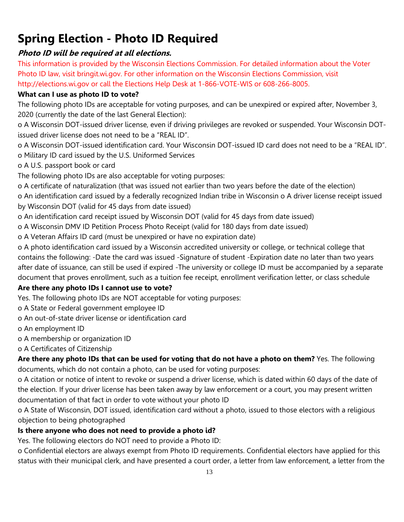# **Spring Election - Photo ID Required**

# **Photo ID will be required at all elections.**

This information is provided by the Wisconsin Elections Commission. For detailed information about the Voter Photo ID law, visit bringit.wi.gov. For other information on the Wisconsin Elections Commission, visit http://elections.wi.gov or call the Elections Help Desk at 1-866-VOTE-WIS or 608-266-8005.

# **What can I use as photo ID to vote?**

The following photo IDs are acceptable for voting purposes, and can be unexpired or expired after, November 3, 2020 (currently the date of the last General Election):

o A Wisconsin DOT-issued driver license, even if driving privileges are revoked or suspended. Your Wisconsin DOTissued driver license does not need to be a "REAL ID".

o A Wisconsin DOT-issued identification card. Your Wisconsin DOT-issued ID card does not need to be a "REAL ID". o Military ID card issued by the U.S. Uniformed Services

o A U.S. passport book or card

The following photo IDs are also acceptable for voting purposes:

o A certificate of naturalization (that was issued not earlier than two years before the date of the election)

o An identification card issued by a federally recognized Indian tribe in Wisconsin o A driver license receipt issued by Wisconsin DOT (valid for 45 days from date issued)

o An identification card receipt issued by Wisconsin DOT (valid for 45 days from date issued)

o A Wisconsin DMV ID Petition Process Photo Receipt (valid for 180 days from date issued)

o A Veteran Affairs ID card (must be unexpired or have no expiration date)

o A photo identification card issued by a Wisconsin accredited university or college, or technical college that contains the following: -Date the card was issued -Signature of student -Expiration date no later than two years after date of issuance, can still be used if expired -The university or college ID must be accompanied by a separate document that proves enrollment, such as a tuition fee receipt, enrollment verification letter, or class schedule

# **Are there any photo IDs I cannot use to vote?**

Yes. The following photo IDs are NOT acceptable for voting purposes:

o A State or Federal government employee ID

o An out-of-state driver license or identification card

o An employment ID

o A membership or organization ID

o A Certificates of Citizenship

**Are there any photo IDs that can be used for voting that do not have a photo on them?** Yes. The following documents, which do not contain a photo, can be used for voting purposes:

o A citation or notice of intent to revoke or suspend a driver license, which is dated within 60 days of the date of the election. If your driver license has been taken away by law enforcement or a court, you may present written documentation of that fact in order to vote without your photo ID

o A State of Wisconsin, DOT issued, identification card without a photo, issued to those electors with a religious objection to being photographed

# **Is there anyone who does not need to provide a photo id?**

Yes. The following electors do NOT need to provide a Photo ID:

o Confidential electors are always exempt from Photo ID requirements. Confidential electors have applied for this status with their municipal clerk, and have presented a court order, a letter from law enforcement, a letter from the